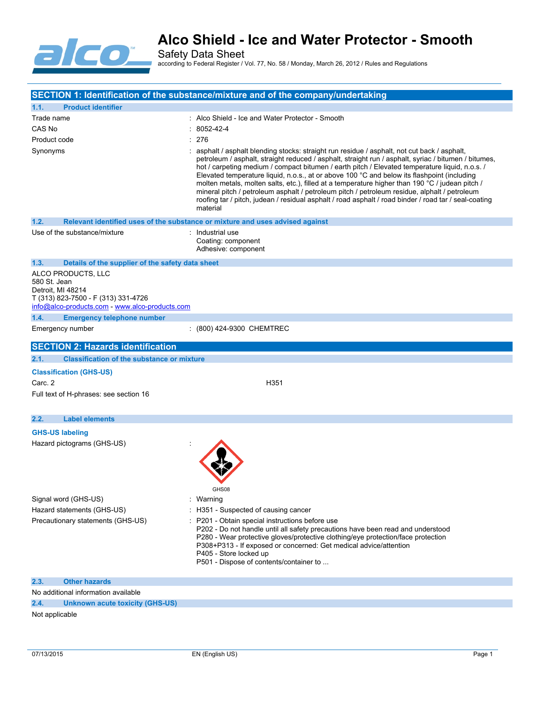

Safety Data Sheet according to Federal Register / Vol. 77, No. 58 / Monday, March 26, 2012 / Rules and Regulations

|                                                                                                                                                  | SECTION 1: Identification of the substance/mixture and of the company/undertaking                                                                                                                                                                                                                                                                                                                                                                                                                                                                                                                                                                                                                                             |
|--------------------------------------------------------------------------------------------------------------------------------------------------|-------------------------------------------------------------------------------------------------------------------------------------------------------------------------------------------------------------------------------------------------------------------------------------------------------------------------------------------------------------------------------------------------------------------------------------------------------------------------------------------------------------------------------------------------------------------------------------------------------------------------------------------------------------------------------------------------------------------------------|
| 1.1.<br><b>Product identifier</b>                                                                                                                |                                                                                                                                                                                                                                                                                                                                                                                                                                                                                                                                                                                                                                                                                                                               |
| Trade name                                                                                                                                       | : Alco Shield - Ice and Water Protector - Smooth                                                                                                                                                                                                                                                                                                                                                                                                                                                                                                                                                                                                                                                                              |
| CAS No                                                                                                                                           | $: 8052 - 42 - 4$                                                                                                                                                                                                                                                                                                                                                                                                                                                                                                                                                                                                                                                                                                             |
| Product code                                                                                                                                     | : 276                                                                                                                                                                                                                                                                                                                                                                                                                                                                                                                                                                                                                                                                                                                         |
| Synonyms                                                                                                                                         | : asphalt / asphalt blending stocks: straight run residue / asphalt, not cut back / asphalt,<br>petroleum / asphalt, straight reduced / asphalt, straight run / asphalt, syriac / bitumen / bitumes,<br>hot / carpeting medium / compact bitumen / earth pitch / Elevated temperature liquid, n.o.s. /<br>Elevated temperature liquid, n.o.s., at or above 100 °C and below its flashpoint (including<br>molten metals, molten salts, etc.), filled at a temperature higher than 190 °C / judean pitch /<br>mineral pitch / petroleum asphalt / petroleum pitch / petroleum residue, alphalt / petroleum<br>roofing tar / pitch, judean / residual asphalt / road asphalt / road binder / road tar / seal-coating<br>material |
| 1.2.                                                                                                                                             | Relevant identified uses of the substance or mixture and uses advised against                                                                                                                                                                                                                                                                                                                                                                                                                                                                                                                                                                                                                                                 |
| Use of the substance/mixture                                                                                                                     | : Industrial use<br>Coating: component<br>Adhesive: component                                                                                                                                                                                                                                                                                                                                                                                                                                                                                                                                                                                                                                                                 |
| 1.3.<br>Details of the supplier of the safety data sheet                                                                                         |                                                                                                                                                                                                                                                                                                                                                                                                                                                                                                                                                                                                                                                                                                                               |
| ALCO PRODUCTS, LLC<br>580 St. Jean<br>Detroit, MI 48214<br>T (313) 823-7500 - F (313) 331-4726<br>info@alco-products.com - www.alco-products.com |                                                                                                                                                                                                                                                                                                                                                                                                                                                                                                                                                                                                                                                                                                                               |
| 1.4.<br><b>Emergency telephone number</b>                                                                                                        |                                                                                                                                                                                                                                                                                                                                                                                                                                                                                                                                                                                                                                                                                                                               |
| Emergency number                                                                                                                                 | : (800) 424-9300 CHEMTREC                                                                                                                                                                                                                                                                                                                                                                                                                                                                                                                                                                                                                                                                                                     |
| <b>SECTION 2: Hazards identification</b>                                                                                                         |                                                                                                                                                                                                                                                                                                                                                                                                                                                                                                                                                                                                                                                                                                                               |
| <b>Classification of the substance or mixture</b><br>2.1.                                                                                        |                                                                                                                                                                                                                                                                                                                                                                                                                                                                                                                                                                                                                                                                                                                               |
| <b>Classification (GHS-US)</b><br>Carc. 2<br>Full text of H-phrases: see section 16                                                              | H351                                                                                                                                                                                                                                                                                                                                                                                                                                                                                                                                                                                                                                                                                                                          |
| <b>Label elements</b><br>2.2.                                                                                                                    |                                                                                                                                                                                                                                                                                                                                                                                                                                                                                                                                                                                                                                                                                                                               |
| <b>GHS-US labeling</b><br>Hazard pictograms (GHS-US)                                                                                             |                                                                                                                                                                                                                                                                                                                                                                                                                                                                                                                                                                                                                                                                                                                               |
|                                                                                                                                                  | GHS08                                                                                                                                                                                                                                                                                                                                                                                                                                                                                                                                                                                                                                                                                                                         |
| Signal word (GHS-US)                                                                                                                             | : Warning                                                                                                                                                                                                                                                                                                                                                                                                                                                                                                                                                                                                                                                                                                                     |
| Hazard statements (GHS-US)<br>Precautionary statements (GHS-US)                                                                                  | : H351 - Suspected of causing cancer<br>: P201 - Obtain special instructions before use                                                                                                                                                                                                                                                                                                                                                                                                                                                                                                                                                                                                                                       |
|                                                                                                                                                  | P202 - Do not handle until all safety precautions have been read and understood<br>P280 - Wear protective gloves/protective clothing/eye protection/face protection<br>P308+P313 - If exposed or concerned: Get medical advice/attention<br>P405 - Store locked up<br>P501 - Dispose of contents/container to                                                                                                                                                                                                                                                                                                                                                                                                                 |
| 2.3.<br><b>Other hazards</b>                                                                                                                     |                                                                                                                                                                                                                                                                                                                                                                                                                                                                                                                                                                                                                                                                                                                               |
| No additional information available                                                                                                              |                                                                                                                                                                                                                                                                                                                                                                                                                                                                                                                                                                                                                                                                                                                               |
| 2.4.<br><b>Unknown acute toxicity (GHS-US)</b>                                                                                                   |                                                                                                                                                                                                                                                                                                                                                                                                                                                                                                                                                                                                                                                                                                                               |
| Not applicable                                                                                                                                   |                                                                                                                                                                                                                                                                                                                                                                                                                                                                                                                                                                                                                                                                                                                               |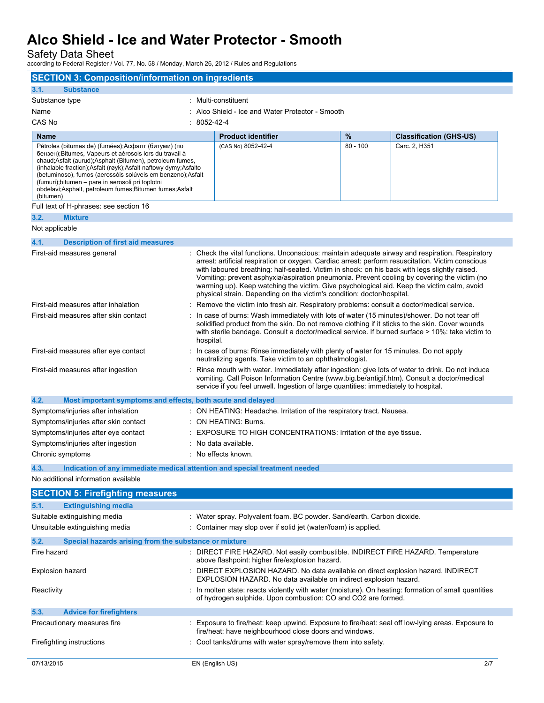Safety Data Sheet

according to Federal Register / Vol. 77, No. 58 / Monday, March 26, 2012 / Rules and Regulations

| <b>SECTION 3: Composition/information on ingredients</b>                                                                                                                                                                                                                                                                                                                                                                                   |             |                                                                                                                                                                                                                                                                                                                                                                                                                                                                                                                                                                              |            |                                |
|--------------------------------------------------------------------------------------------------------------------------------------------------------------------------------------------------------------------------------------------------------------------------------------------------------------------------------------------------------------------------------------------------------------------------------------------|-------------|------------------------------------------------------------------------------------------------------------------------------------------------------------------------------------------------------------------------------------------------------------------------------------------------------------------------------------------------------------------------------------------------------------------------------------------------------------------------------------------------------------------------------------------------------------------------------|------------|--------------------------------|
| <b>Substance</b><br>3.1.                                                                                                                                                                                                                                                                                                                                                                                                                   |             |                                                                                                                                                                                                                                                                                                                                                                                                                                                                                                                                                                              |            |                                |
| Substance type                                                                                                                                                                                                                                                                                                                                                                                                                             |             | : Multi-constituent                                                                                                                                                                                                                                                                                                                                                                                                                                                                                                                                                          |            |                                |
| Name                                                                                                                                                                                                                                                                                                                                                                                                                                       |             | : Alco Shield - Ice and Water Protector - Smooth                                                                                                                                                                                                                                                                                                                                                                                                                                                                                                                             |            |                                |
| CAS No                                                                                                                                                                                                                                                                                                                                                                                                                                     | : 8052-42-4 |                                                                                                                                                                                                                                                                                                                                                                                                                                                                                                                                                                              |            |                                |
| <b>Name</b>                                                                                                                                                                                                                                                                                                                                                                                                                                |             | <b>Product identifier</b>                                                                                                                                                                                                                                                                                                                                                                                                                                                                                                                                                    | $\%$       | <b>Classification (GHS-US)</b> |
| Pétroles (bitumes de) (fumées);Асфалт (битуми) (по<br>бензен); Bitumes, Vapeurs et aérosols lors du travail à<br>chaud; Asfalt (aurud); Asphalt (Bitumen), petroleum fumes,<br>(inhalable fraction);Asfalt (røyk);Asfalt naftowy dymy;Asfalto<br>(betuminoso), fumos (aerossóis solúveis em benzeno);Asfalt<br>(fumuri); bitumen - pare in aerosoli pri toplotni<br>obdelavi; Asphalt, petroleum fumes; Bitumen fumes; Asfalt<br>(bitumen) |             | (CAS No) 8052-42-4                                                                                                                                                                                                                                                                                                                                                                                                                                                                                                                                                           | $80 - 100$ | Carc. 2, H351                  |
| Full text of H-phrases: see section 16                                                                                                                                                                                                                                                                                                                                                                                                     |             |                                                                                                                                                                                                                                                                                                                                                                                                                                                                                                                                                                              |            |                                |
| <b>Mixture</b><br>3.2.                                                                                                                                                                                                                                                                                                                                                                                                                     |             |                                                                                                                                                                                                                                                                                                                                                                                                                                                                                                                                                                              |            |                                |
| Not applicable                                                                                                                                                                                                                                                                                                                                                                                                                             |             |                                                                                                                                                                                                                                                                                                                                                                                                                                                                                                                                                                              |            |                                |
| 4.1.<br><b>Description of first aid measures</b>                                                                                                                                                                                                                                                                                                                                                                                           |             |                                                                                                                                                                                                                                                                                                                                                                                                                                                                                                                                                                              |            |                                |
| First-aid measures general                                                                                                                                                                                                                                                                                                                                                                                                                 |             | : Check the vital functions. Unconscious: maintain adequate airway and respiration. Respiratory<br>arrest: artificial respiration or oxygen. Cardiac arrest: perform resuscitation. Victim conscious<br>with laboured breathing: half-seated. Victim in shock: on his back with legs slightly raised.<br>Vomiting: prevent asphyxia/aspiration pneumonia. Prevent cooling by covering the victim (no<br>warming up). Keep watching the victim. Give psychological aid. Keep the victim calm, avoid<br>physical strain. Depending on the victim's condition: doctor/hospital. |            |                                |
| First-aid measures after inhalation                                                                                                                                                                                                                                                                                                                                                                                                        |             | Remove the victim into fresh air. Respiratory problems: consult a doctor/medical service.                                                                                                                                                                                                                                                                                                                                                                                                                                                                                    |            |                                |
| First-aid measures after skin contact                                                                                                                                                                                                                                                                                                                                                                                                      | hospital.   | In case of burns: Wash immediately with lots of water (15 minutes)/shower. Do not tear off<br>solidified product from the skin. Do not remove clothing if it sticks to the skin. Cover wounds<br>with sterile bandage. Consult a doctor/medical service. If burned surface > 10%: take victim to                                                                                                                                                                                                                                                                             |            |                                |
| First-aid measures after eye contact                                                                                                                                                                                                                                                                                                                                                                                                       |             | : In case of burns: Rinse immediately with plenty of water for 15 minutes. Do not apply<br>neutralizing agents. Take victim to an ophthalmologist.                                                                                                                                                                                                                                                                                                                                                                                                                           |            |                                |
| First-aid measures after ingestion                                                                                                                                                                                                                                                                                                                                                                                                         |             | Rinse mouth with water. Immediately after ingestion: give lots of water to drink. Do not induce<br>vomiting. Call Poison Information Centre (www.big.be/antigif.htm). Consult a doctor/medical<br>service if you feel unwell. Ingestion of large quantities: immediately to hospital.                                                                                                                                                                                                                                                                                        |            |                                |
| 4.2.<br>Most important symptoms and effects, both acute and delayed                                                                                                                                                                                                                                                                                                                                                                        |             |                                                                                                                                                                                                                                                                                                                                                                                                                                                                                                                                                                              |            |                                |
| Symptoms/injuries after inhalation                                                                                                                                                                                                                                                                                                                                                                                                         |             | : ON HEATING: Headache. Irritation of the respiratory tract. Nausea.                                                                                                                                                                                                                                                                                                                                                                                                                                                                                                         |            |                                |
| Symptoms/injuries after skin contact                                                                                                                                                                                                                                                                                                                                                                                                       |             | : ON HEATING: Burns.                                                                                                                                                                                                                                                                                                                                                                                                                                                                                                                                                         |            |                                |
| Symptoms/injuries after eye contact                                                                                                                                                                                                                                                                                                                                                                                                        |             | EXPOSURE TO HIGH CONCENTRATIONS: Irritation of the eye tissue.                                                                                                                                                                                                                                                                                                                                                                                                                                                                                                               |            |                                |
| Symptoms/injuries after ingestion                                                                                                                                                                                                                                                                                                                                                                                                          |             | No data available.                                                                                                                                                                                                                                                                                                                                                                                                                                                                                                                                                           |            |                                |
| Chronic symptoms                                                                                                                                                                                                                                                                                                                                                                                                                           |             | : No effects known.                                                                                                                                                                                                                                                                                                                                                                                                                                                                                                                                                          |            |                                |
| 4.3.<br>Indication of any immediate medical attention and special treatment needed<br>No additional information available                                                                                                                                                                                                                                                                                                                  |             |                                                                                                                                                                                                                                                                                                                                                                                                                                                                                                                                                                              |            |                                |
|                                                                                                                                                                                                                                                                                                                                                                                                                                            |             |                                                                                                                                                                                                                                                                                                                                                                                                                                                                                                                                                                              |            |                                |
| <b>SECTION 5: Firefighting measures</b>                                                                                                                                                                                                                                                                                                                                                                                                    |             |                                                                                                                                                                                                                                                                                                                                                                                                                                                                                                                                                                              |            |                                |
| 5.1.<br><b>Extinguishing media</b>                                                                                                                                                                                                                                                                                                                                                                                                         |             |                                                                                                                                                                                                                                                                                                                                                                                                                                                                                                                                                                              |            |                                |
| Suitable extinguishing media                                                                                                                                                                                                                                                                                                                                                                                                               |             | : Water spray. Polyvalent foam. BC powder. Sand/earth. Carbon dioxide.                                                                                                                                                                                                                                                                                                                                                                                                                                                                                                       |            |                                |
| Unsuitable extinguishing media                                                                                                                                                                                                                                                                                                                                                                                                             |             | : Container may slop over if solid jet (water/foam) is applied.                                                                                                                                                                                                                                                                                                                                                                                                                                                                                                              |            |                                |
| 5.2.<br>Special hazards arising from the substance or mixture                                                                                                                                                                                                                                                                                                                                                                              |             |                                                                                                                                                                                                                                                                                                                                                                                                                                                                                                                                                                              |            |                                |
| Fire hazard                                                                                                                                                                                                                                                                                                                                                                                                                                |             | : DIRECT FIRE HAZARD. Not easily combustible. INDIRECT FIRE HAZARD. Temperature<br>above flashpoint: higher fire/explosion hazard.                                                                                                                                                                                                                                                                                                                                                                                                                                           |            |                                |
| Explosion hazard                                                                                                                                                                                                                                                                                                                                                                                                                           |             | DIRECT EXPLOSION HAZARD. No data available on direct explosion hazard. INDIRECT<br>EXPLOSION HAZARD. No data available on indirect explosion hazard.                                                                                                                                                                                                                                                                                                                                                                                                                         |            |                                |
| Reactivity                                                                                                                                                                                                                                                                                                                                                                                                                                 |             | : In molten state: reacts violently with water (moisture). On heating: formation of small quantities<br>of hydrogen sulphide. Upon combustion: CO and CO2 are formed.                                                                                                                                                                                                                                                                                                                                                                                                        |            |                                |
| 5.3.<br><b>Advice for firefighters</b>                                                                                                                                                                                                                                                                                                                                                                                                     |             |                                                                                                                                                                                                                                                                                                                                                                                                                                                                                                                                                                              |            |                                |
| Precautionary measures fire                                                                                                                                                                                                                                                                                                                                                                                                                |             | : Exposure to fire/heat: keep upwind. Exposure to fire/heat: seal off low-lying areas. Exposure to<br>fire/heat: have neighbourhood close doors and windows.                                                                                                                                                                                                                                                                                                                                                                                                                 |            |                                |
| Firefighting instructions                                                                                                                                                                                                                                                                                                                                                                                                                  |             | Cool tanks/drums with water spray/remove them into safety.                                                                                                                                                                                                                                                                                                                                                                                                                                                                                                                   |            |                                |
| 07/13/2015                                                                                                                                                                                                                                                                                                                                                                                                                                 |             | EN (English US)                                                                                                                                                                                                                                                                                                                                                                                                                                                                                                                                                              |            | 2/7                            |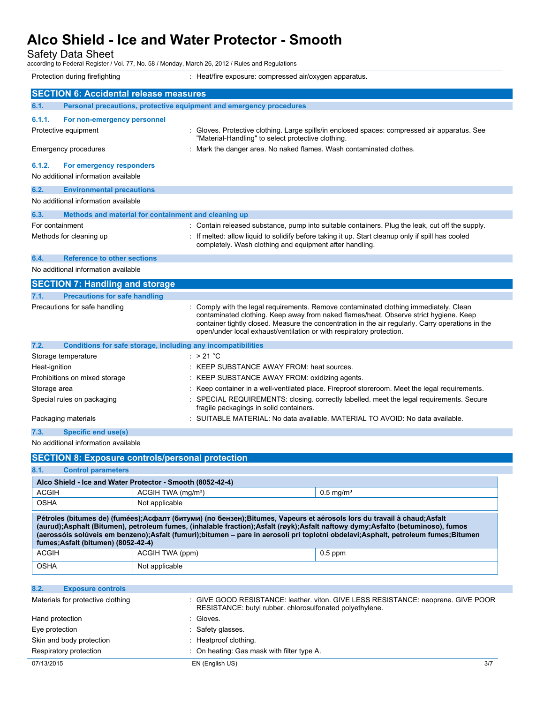Safety Data Sheet

according to Federal Register / Vol. 77, No. 58 / Monday, March 26, 2012 / Rules and Regulations

| Protection during firefighting                                              | : Heat/fire exposure: compressed air/oxygen apparatus.                                                                                                                                                                                                                                                                                                      |  |  |
|-----------------------------------------------------------------------------|-------------------------------------------------------------------------------------------------------------------------------------------------------------------------------------------------------------------------------------------------------------------------------------------------------------------------------------------------------------|--|--|
| <b>SECTION 6: Accidental release measures</b>                               |                                                                                                                                                                                                                                                                                                                                                             |  |  |
| Personal precautions, protective equipment and emergency procedures<br>6.1. |                                                                                                                                                                                                                                                                                                                                                             |  |  |
|                                                                             |                                                                                                                                                                                                                                                                                                                                                             |  |  |
| 6.1.1.<br>For non-emergency personnel<br>Protective equipment               | Gloves. Protective clothing. Large spills/in enclosed spaces: compressed air apparatus. See<br>"Material-Handling" to select protective clothing.                                                                                                                                                                                                           |  |  |
| Emergency procedures                                                        | : Mark the danger area. No naked flames. Wash contaminated clothes.                                                                                                                                                                                                                                                                                         |  |  |
| 6.1.2.<br>For emergency responders                                          |                                                                                                                                                                                                                                                                                                                                                             |  |  |
| No additional information available                                         |                                                                                                                                                                                                                                                                                                                                                             |  |  |
| 6.2.<br><b>Environmental precautions</b>                                    |                                                                                                                                                                                                                                                                                                                                                             |  |  |
| No additional information available                                         |                                                                                                                                                                                                                                                                                                                                                             |  |  |
| Methods and material for containment and cleaning up<br>6.3.                |                                                                                                                                                                                                                                                                                                                                                             |  |  |
| For containment                                                             | : Contain released substance, pump into suitable containers. Plug the leak, cut off the supply.                                                                                                                                                                                                                                                             |  |  |
| Methods for cleaning up                                                     | If melted: allow liquid to solidify before taking it up. Start cleanup only if spill has cooled<br>completely. Wash clothing and equipment after handling.                                                                                                                                                                                                  |  |  |
| <b>Reference to other sections</b><br>6.4.                                  |                                                                                                                                                                                                                                                                                                                                                             |  |  |
| No additional information available                                         |                                                                                                                                                                                                                                                                                                                                                             |  |  |
| <b>SECTION 7: Handling and storage</b>                                      |                                                                                                                                                                                                                                                                                                                                                             |  |  |
| <b>Precautions for safe handling</b><br>7.1.                                |                                                                                                                                                                                                                                                                                                                                                             |  |  |
| Precautions for safe handling                                               | : Comply with the legal requirements. Remove contaminated clothing immediately. Clean<br>contaminated clothing. Keep away from naked flames/heat. Observe strict hygiene. Keep<br>container tightly closed. Measure the concentration in the air regularly. Carry operations in the<br>open/under local exhaust/ventilation or with respiratory protection. |  |  |
| 7.2.<br>Conditions for safe storage, including any incompatibilities        |                                                                                                                                                                                                                                                                                                                                                             |  |  |
| Storage temperature                                                         | : $>21^{\circ}$ C                                                                                                                                                                                                                                                                                                                                           |  |  |
| Heat-ignition                                                               | : KEEP SUBSTANCE AWAY FROM: heat sources.                                                                                                                                                                                                                                                                                                                   |  |  |
| Prohibitions on mixed storage                                               | KEEP SUBSTANCE AWAY FROM: oxidizing agents.                                                                                                                                                                                                                                                                                                                 |  |  |
| Storage area                                                                | Keep container in a well-ventilated place. Fireproof storeroom. Meet the legal requirements.                                                                                                                                                                                                                                                                |  |  |
| Special rules on packaging                                                  | SPECIAL REQUIREMENTS: closing. correctly labelled. meet the legal requirements. Secure<br>fragile packagings in solid containers.                                                                                                                                                                                                                           |  |  |
| Packaging materials                                                         | SUITABLE MATERIAL: No data available. MATERIAL TO AVOID: No data available.                                                                                                                                                                                                                                                                                 |  |  |
| <b>Specific end use(s)</b><br>7.3.                                          |                                                                                                                                                                                                                                                                                                                                                             |  |  |
| No additional information available                                         |                                                                                                                                                                                                                                                                                                                                                             |  |  |
| <b>SECTION 8: Exposure controls/personal protection</b>                     |                                                                                                                                                                                                                                                                                                                                                             |  |  |

**8.1. Control parameters**

L

| Alco Shield - Ice and Water Protector - Smooth (8052-42-4)                                                                                                                                                                                                                                                                                                                                                                           |                                |                         |  |
|--------------------------------------------------------------------------------------------------------------------------------------------------------------------------------------------------------------------------------------------------------------------------------------------------------------------------------------------------------------------------------------------------------------------------------------|--------------------------------|-------------------------|--|
| <b>ACGIH</b>                                                                                                                                                                                                                                                                                                                                                                                                                         | ACGIH TWA (mg/m <sup>3</sup> ) | $0.5$ mg/m <sup>3</sup> |  |
| <b>OSHA</b>                                                                                                                                                                                                                                                                                                                                                                                                                          | Not applicable                 |                         |  |
| Pétroles (bitumes de) (fumées);Асфалт (битуми) (по бензен);Bitumes, Vapeurs et aérosols lors du travail à chaud;Asfalt<br>(aurud);Asphalt (Bitumen), petroleum fumes, (inhalable fraction);Asfalt (røyk);Asfalt naftowy dymy;Asfalto (betuminoso), fumos<br>(aerossóis solúveis em benzeno);Asfalt (fumuri);bitumen – pare in aerosoli pri toplotni obdelavi;Asphalt, petroleum fumes;Bitumen<br>fumes: Asfalt (bitumen) (8052-42-4) |                                |                         |  |
| <b>ACGIH</b>                                                                                                                                                                                                                                                                                                                                                                                                                         | ACGIH TWA (ppm)                | $0.5$ ppm               |  |
| <b>OSHA</b>                                                                                                                                                                                                                                                                                                                                                                                                                          | Not applicable                 |                         |  |

| 8.2.            | <b>Exposure controls</b>          |                                                                                                                                               |
|-----------------|-----------------------------------|-----------------------------------------------------------------------------------------------------------------------------------------------|
|                 | Materials for protective clothing | : GIVE GOOD RESISTANCE: leather. viton. GIVE LESS RESISTANCE: neoprene. GIVE POOR<br>RESISTANCE: butyl rubber. chlorosulfonated polyethylene. |
| Hand protection |                                   | : Gloves.                                                                                                                                     |
| Eye protection  |                                   | : Safety glasses.                                                                                                                             |
|                 | Skin and body protection          | : Heatproof clothing.                                                                                                                         |
|                 | Respiratory protection            | : On heating: Gas mask with filter type A.                                                                                                    |
| 07/13/2015      |                                   | 3/7<br>EN (English US)                                                                                                                        |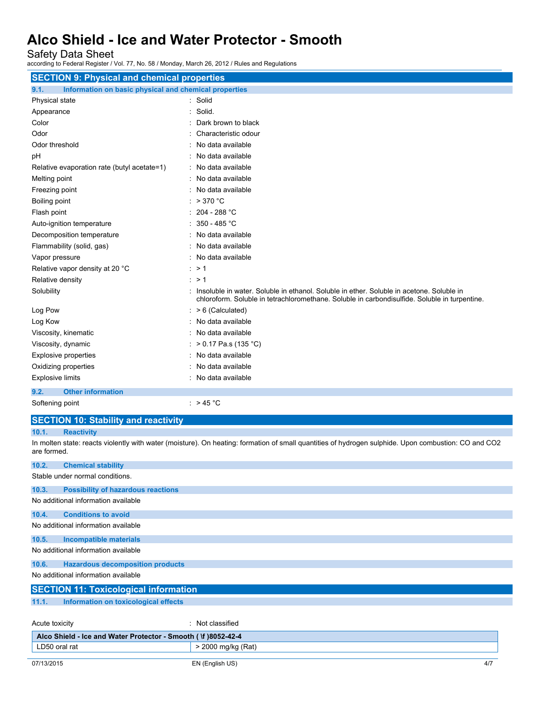Safety Data Sheet

according to Federal Register / Vol. 77, No. 58 / Monday, March 26, 2012 / Rules and Regulations

| <b>SECTION 9: Physical and chemical properties</b>            |                                                                                                                                                                                             |  |  |
|---------------------------------------------------------------|---------------------------------------------------------------------------------------------------------------------------------------------------------------------------------------------|--|--|
| 9.1.<br>Information on basic physical and chemical properties |                                                                                                                                                                                             |  |  |
| Physical state                                                | : Solid                                                                                                                                                                                     |  |  |
| Appearance                                                    | Solid.                                                                                                                                                                                      |  |  |
| Color                                                         | Dark brown to black                                                                                                                                                                         |  |  |
| Odor                                                          | Characteristic odour                                                                                                                                                                        |  |  |
| Odor threshold                                                | No data available                                                                                                                                                                           |  |  |
| pH                                                            | : No data available                                                                                                                                                                         |  |  |
| Relative evaporation rate (butyl acetate=1)                   | : No data available                                                                                                                                                                         |  |  |
| Melting point                                                 | : No data available                                                                                                                                                                         |  |  |
| Freezing point                                                | : No data available                                                                                                                                                                         |  |  |
| Boiling point                                                 | : $>370$ °C                                                                                                                                                                                 |  |  |
| Flash point                                                   | $: 204 - 288 °C$                                                                                                                                                                            |  |  |
| Auto-ignition temperature                                     | : 350 - 485 °C                                                                                                                                                                              |  |  |
| Decomposition temperature                                     | : No data available                                                                                                                                                                         |  |  |
| Flammability (solid, gas)                                     | : No data available                                                                                                                                                                         |  |  |
| Vapor pressure                                                | : No data available                                                                                                                                                                         |  |  |
| Relative vapor density at 20 °C                               | : > 1                                                                                                                                                                                       |  |  |
| Relative density                                              | $\cdot$ > 1                                                                                                                                                                                 |  |  |
| Solubility                                                    | : Insoluble in water. Soluble in ethanol. Soluble in ether. Soluble in acetone. Soluble in<br>chloroform. Soluble in tetrachloromethane. Soluble in carbondisulfide. Soluble in turpentine. |  |  |
| Log Pow                                                       | $: > 6$ (Calculated)                                                                                                                                                                        |  |  |
| Log Kow                                                       | : No data available                                                                                                                                                                         |  |  |
| Viscosity, kinematic                                          | : No data available                                                                                                                                                                         |  |  |
| Viscosity, dynamic                                            | : > 0.17 Pa.s (135 °C)                                                                                                                                                                      |  |  |
| <b>Explosive properties</b>                                   | : No data available                                                                                                                                                                         |  |  |
| Oxidizing properties                                          | No data available                                                                                                                                                                           |  |  |
| <b>Explosive limits</b>                                       | : No data available                                                                                                                                                                         |  |  |
| <b>Other information</b><br>9.2.                              |                                                                                                                                                                                             |  |  |
| Softening point                                               | : $> 45 °C$                                                                                                                                                                                 |  |  |

#### **SECTION 10: Stability and reactivity**

**10.1. Reactivity**

In molten state: reacts violently with water (moisture). On heating: formation of small quantities of hydrogen sulphide. Upon combustion: CO and CO2 are formed.

| 10.2.                                                          | <b>Chemical stability</b>                 |                    |     |  |
|----------------------------------------------------------------|-------------------------------------------|--------------------|-----|--|
|                                                                | Stable under normal conditions.           |                    |     |  |
| 10.3.                                                          | <b>Possibility of hazardous reactions</b> |                    |     |  |
|                                                                | No additional information available       |                    |     |  |
| 10.4.                                                          | <b>Conditions to avoid</b>                |                    |     |  |
|                                                                | No additional information available       |                    |     |  |
| 10.5.                                                          | <b>Incompatible materials</b>             |                    |     |  |
|                                                                | No additional information available       |                    |     |  |
| 10.6.                                                          | <b>Hazardous decomposition products</b>   |                    |     |  |
| No additional information available                            |                                           |                    |     |  |
| <b>SECTION 11: Toxicological information</b>                   |                                           |                    |     |  |
| 11.1.                                                          | Information on toxicological effects      |                    |     |  |
|                                                                |                                           |                    |     |  |
| Acute toxicity                                                 |                                           | : Not classified   |     |  |
| Alco Shield - Ice and Water Protector - Smooth ( \f )8052-42-4 |                                           |                    |     |  |
| LD50 oral rat                                                  |                                           | > 2000 mg/kg (Rat) |     |  |
| 07/13/2015                                                     |                                           | EN (English US)    | 4/7 |  |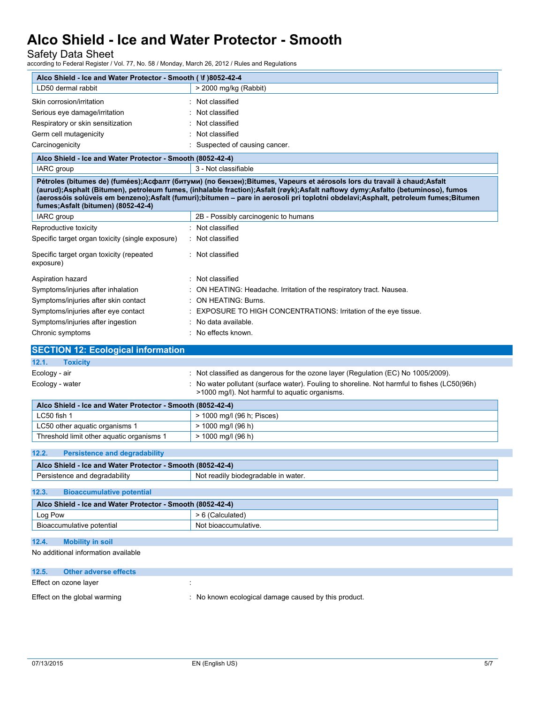Safety Data Sheet

according to Federal Register / Vol. 77, No. 58 / Monday, March 26, 2012 / Rules and Regulations

| Alco Shield - Ice and Water Protector - Smooth ( \f )8052-42-4                                                                |                                                                                                                                                                                                                                                                                                                                                                                               |
|-------------------------------------------------------------------------------------------------------------------------------|-----------------------------------------------------------------------------------------------------------------------------------------------------------------------------------------------------------------------------------------------------------------------------------------------------------------------------------------------------------------------------------------------|
| LD50 dermal rabbit                                                                                                            | > 2000 mg/kg (Rabbit)                                                                                                                                                                                                                                                                                                                                                                         |
| Skin corrosion/irritation                                                                                                     | Not classified                                                                                                                                                                                                                                                                                                                                                                                |
| Serious eye damage/irritation                                                                                                 | : Not classified                                                                                                                                                                                                                                                                                                                                                                              |
| Respiratory or skin sensitization                                                                                             | Not classified                                                                                                                                                                                                                                                                                                                                                                                |
| Germ cell mutagenicity                                                                                                        | Not classified                                                                                                                                                                                                                                                                                                                                                                                |
| Carcinogenicity                                                                                                               | : Suspected of causing cancer.                                                                                                                                                                                                                                                                                                                                                                |
| Alco Shield - Ice and Water Protector - Smooth (8052-42-4)                                                                    |                                                                                                                                                                                                                                                                                                                                                                                               |
| <b>IARC</b> group                                                                                                             | 3 - Not classifiable                                                                                                                                                                                                                                                                                                                                                                          |
| fumes; Asfalt (bitumen) (8052-42-4)                                                                                           | Pétroles (bitumes de) (fumées);Асфалт (битуми) (по бензен);Bitumes, Vapeurs et aérosols lors du travail à chaud;Asfalt<br>(aurud);Asphalt (Bitumen), petroleum fumes, (inhalable fraction);Asfalt (røyk);Asfalt naftowy dymy;Asfalto (betuminoso), fumos<br>(aerossóis solúveis em benzeno);Asfalt (fumuri);bitumen - pare in aerosoli pri toplotni obdelavi;Asphalt, petroleum fumes;Bitumen |
| IARC group                                                                                                                    | 2B - Possibly carcinogenic to humans                                                                                                                                                                                                                                                                                                                                                          |
| Reproductive toxicity                                                                                                         | : Not classified                                                                                                                                                                                                                                                                                                                                                                              |
| Specific target organ toxicity (single exposure)                                                                              | : Not classified                                                                                                                                                                                                                                                                                                                                                                              |
| Specific target organ toxicity (repeated<br>exposure)                                                                         | : Not classified                                                                                                                                                                                                                                                                                                                                                                              |
| Aspiration hazard                                                                                                             | : Not classified                                                                                                                                                                                                                                                                                                                                                                              |
| Symptoms/injuries after inhalation                                                                                            | : ON HEATING: Headache. Irritation of the respiratory tract. Nausea.                                                                                                                                                                                                                                                                                                                          |
| Symptoms/injuries after skin contact                                                                                          | : ON HEATING: Burns.                                                                                                                                                                                                                                                                                                                                                                          |
| Symptoms/injuries after eye contact                                                                                           | EXPOSURE TO HIGH CONCENTRATIONS: Irritation of the eye tissue.                                                                                                                                                                                                                                                                                                                                |
| Symptoms/injuries after ingestion                                                                                             | : No data available.                                                                                                                                                                                                                                                                                                                                                                          |
| Chronic symptoms                                                                                                              | : No effects known.                                                                                                                                                                                                                                                                                                                                                                           |
|                                                                                                                               |                                                                                                                                                                                                                                                                                                                                                                                               |
|                                                                                                                               |                                                                                                                                                                                                                                                                                                                                                                                               |
|                                                                                                                               |                                                                                                                                                                                                                                                                                                                                                                                               |
| <b>Toxicity</b>                                                                                                               |                                                                                                                                                                                                                                                                                                                                                                                               |
|                                                                                                                               | : Not classified as dangerous for the ozone layer (Regulation (EC) No 1005/2009).                                                                                                                                                                                                                                                                                                             |
|                                                                                                                               | No water pollutant (surface water). Fouling to shoreline. Not harmful to fishes (LC50(96h)<br>>1000 mg/l). Not harmful to aquatic organisms.                                                                                                                                                                                                                                                  |
| Alco Shield - Ice and Water Protector - Smooth (8052-42-4)                                                                    |                                                                                                                                                                                                                                                                                                                                                                                               |
| LC50 fish 1                                                                                                                   | > 1000 mg/l (96 h; Pisces)                                                                                                                                                                                                                                                                                                                                                                    |
| LC50 other aquatic organisms 1                                                                                                | > 1000 mg/l (96 h)                                                                                                                                                                                                                                                                                                                                                                            |
| Threshold limit other aquatic organisms 1                                                                                     | $> 1000$ mg/l (96 h)                                                                                                                                                                                                                                                                                                                                                                          |
|                                                                                                                               |                                                                                                                                                                                                                                                                                                                                                                                               |
| <b>Persistence and degradability</b>                                                                                          |                                                                                                                                                                                                                                                                                                                                                                                               |
| 12.2.<br>Alco Shield - Ice and Water Protector - Smooth (8052-42-4)                                                           | Not readily biodegradable in water.                                                                                                                                                                                                                                                                                                                                                           |
| Persistence and degradability<br><b>Bioaccumulative potential</b>                                                             |                                                                                                                                                                                                                                                                                                                                                                                               |
| Alco Shield - Ice and Water Protector - Smooth (8052-42-4)                                                                    |                                                                                                                                                                                                                                                                                                                                                                                               |
| Log Pow                                                                                                                       | > 6 (Calculated)                                                                                                                                                                                                                                                                                                                                                                              |
| Bioaccumulative potential                                                                                                     | Not bioaccumulative.                                                                                                                                                                                                                                                                                                                                                                          |
|                                                                                                                               |                                                                                                                                                                                                                                                                                                                                                                                               |
| 12.1.<br>Ecology - air<br>Ecology - water<br>12.3.<br><b>Mobility in soil</b><br>12.4.<br>No additional information available |                                                                                                                                                                                                                                                                                                                                                                                               |
|                                                                                                                               |                                                                                                                                                                                                                                                                                                                                                                                               |
| 12.5.<br><b>Other adverse effects</b>                                                                                         |                                                                                                                                                                                                                                                                                                                                                                                               |
| <b>SECTION 12: Ecological information</b><br>Effect on ozone layer                                                            |                                                                                                                                                                                                                                                                                                                                                                                               |
| Effect on the global warming                                                                                                  | : No known ecological damage caused by this product.                                                                                                                                                                                                                                                                                                                                          |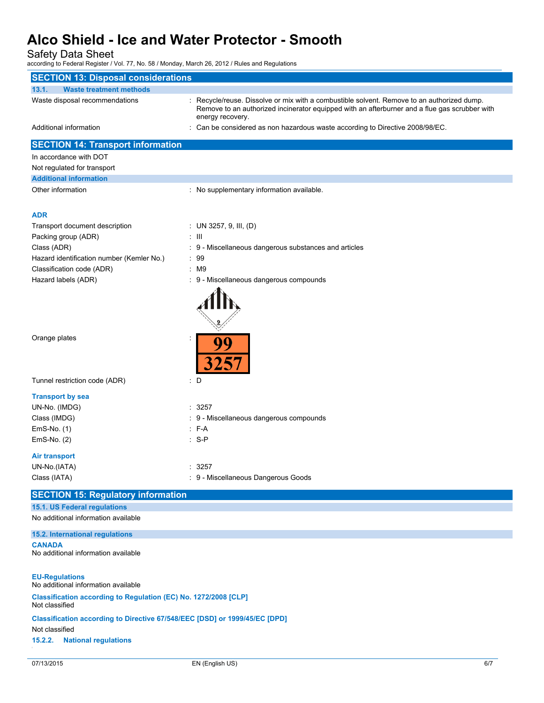Safety Data Sheet

L

according to Federal Register / Vol. 77, No. 58 / Monday, March 26, 2012 / Rules and Regulations

| <b>SECTION 13: Disposal considerations</b>                                                   |                                                                                                                                                                                                                 |     |
|----------------------------------------------------------------------------------------------|-----------------------------------------------------------------------------------------------------------------------------------------------------------------------------------------------------------------|-----|
| 13.1.<br><b>Waste treatment methods</b>                                                      |                                                                                                                                                                                                                 |     |
| Waste disposal recommendations                                                               | : Recycle/reuse. Dissolve or mix with a combustible solvent. Remove to an authorized dump.<br>Remove to an authorized incinerator equipped with an afterburner and a flue gas scrubber with<br>energy recovery. |     |
| Additional information                                                                       | : Can be considered as non hazardous waste according to Directive 2008/98/EC.                                                                                                                                   |     |
| <b>SECTION 14: Transport information</b>                                                     |                                                                                                                                                                                                                 |     |
| In accordance with DOT                                                                       |                                                                                                                                                                                                                 |     |
| Not regulated for transport                                                                  |                                                                                                                                                                                                                 |     |
| <b>Additional information</b>                                                                |                                                                                                                                                                                                                 |     |
| Other information                                                                            | : No supplementary information available.                                                                                                                                                                       |     |
| <b>ADR</b>                                                                                   |                                                                                                                                                                                                                 |     |
| Transport document description                                                               | : UN 3257, 9, III, (D)                                                                                                                                                                                          |     |
| Packing group (ADR)                                                                          | $\pm$ 111                                                                                                                                                                                                       |     |
| Class (ADR)                                                                                  | : 9 - Miscellaneous dangerous substances and articles                                                                                                                                                           |     |
| Hazard identification number (Kemler No.)                                                    | : 99                                                                                                                                                                                                            |     |
| Classification code (ADR)                                                                    | : M9                                                                                                                                                                                                            |     |
| Hazard labels (ADR)                                                                          | : 9 - Miscellaneous dangerous compounds                                                                                                                                                                         |     |
| Orange plates                                                                                | 99                                                                                                                                                                                                              |     |
| Tunnel restriction code (ADR)                                                                | <b>3257</b><br>: D                                                                                                                                                                                              |     |
| <b>Transport by sea</b>                                                                      |                                                                                                                                                                                                                 |     |
| UN-No. (IMDG)                                                                                | : 3257                                                                                                                                                                                                          |     |
| Class (IMDG)                                                                                 | : 9 - Miscellaneous dangerous compounds                                                                                                                                                                         |     |
| $EmS-No. (1)$                                                                                | $:$ F-A                                                                                                                                                                                                         |     |
| EmS-No. (2)                                                                                  | $: S-P$                                                                                                                                                                                                         |     |
|                                                                                              |                                                                                                                                                                                                                 |     |
| Air transport                                                                                |                                                                                                                                                                                                                 |     |
| UN-No.(IATA)                                                                                 | : 3257                                                                                                                                                                                                          |     |
| Class (IATA)                                                                                 | : 9 - Miscellaneous Dangerous Goods                                                                                                                                                                             |     |
| <b>SECTION 15: Regulatory information</b>                                                    |                                                                                                                                                                                                                 |     |
| 15.1. US Federal regulations<br>No additional information available                          |                                                                                                                                                                                                                 |     |
| 15.2. International regulations                                                              |                                                                                                                                                                                                                 |     |
| <b>CANADA</b><br>No additional information available                                         |                                                                                                                                                                                                                 |     |
| <b>EU-Regulations</b><br>No additional information available                                 |                                                                                                                                                                                                                 |     |
| Classification according to Regulation (EC) No. 1272/2008 [CLP]<br>Not classified            |                                                                                                                                                                                                                 |     |
| Classification according to Directive 67/548/EEC [DSD] or 1999/45/EC [DPD]<br>Not classified |                                                                                                                                                                                                                 |     |
| 15.2.2.<br><b>National regulations</b>                                                       |                                                                                                                                                                                                                 |     |
| 07/13/2015                                                                                   | EN (English US)                                                                                                                                                                                                 | 6/7 |